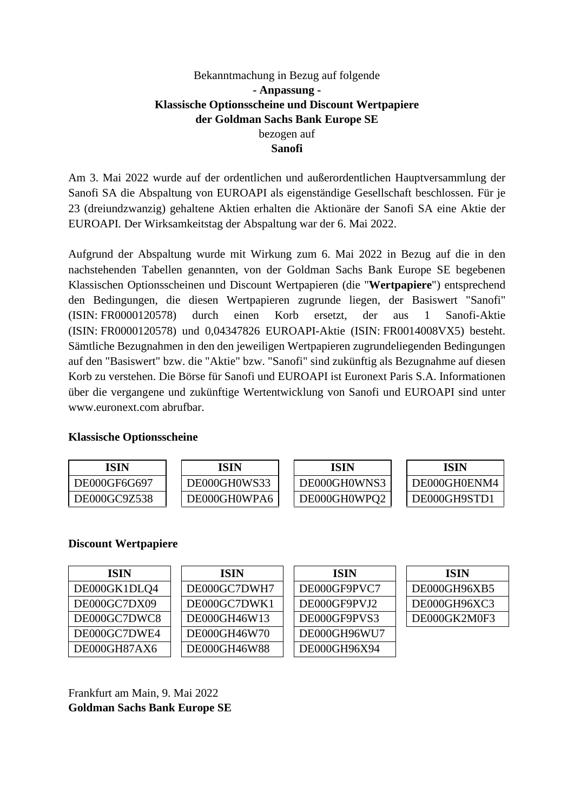# Bekanntmachung in Bezug auf folgende **- Anpassung - Klassische Optionsscheine und Discount Wertpapiere der Goldman Sachs Bank Europe SE**  bezogen auf **Sanofi**

Am 3. Mai 2022 wurde auf der ordentlichen und außerordentlichen Hauptversammlung der Sanofi SA die Abspaltung von EUROAPI als eigenständige Gesellschaft beschlossen. Für je 23 (dreiundzwanzig) gehaltene Aktien erhalten die Aktionäre der Sanofi SA eine Aktie der EUROAPI. Der Wirksamkeitstag der Abspaltung war der 6. Mai 2022.

Aufgrund der Abspaltung wurde mit Wirkung zum 6. Mai 2022 in Bezug auf die in den nachstehenden Tabellen genannten, von der Goldman Sachs Bank Europe SE begebenen Klassischen Optionsscheinen und Discount Wertpapieren (die "**Wertpapiere**") entsprechend den Bedingungen, die diesen Wertpapieren zugrunde liegen, der Basiswert "Sanofi" (ISIN: FR0000120578) durch einen Korb ersetzt, der aus 1 Sanofi-Aktie (ISIN: FR0000120578) und 0,04347826 EUROAPI-Aktie (ISIN: FR0014008VX5) besteht. Sämtliche Bezugnahmen in den den jeweiligen Wertpapieren zugrundeliegenden Bedingungen auf den "Basiswert" bzw. die "Aktie" bzw. "Sanofi" sind zukünftig als Bezugnahme auf diesen Korb zu verstehen. Die Börse für Sanofi und EUROAPI ist Euronext Paris S.A. Informationen über die vergangene und zukünftige Wertentwicklung von Sanofi und EUROAPI sind unter www.euronext.com abrufbar.

## **Klassische Optionsscheine**

| ISIN                | ISIN         | ISIN         | ISIN         |
|---------------------|--------------|--------------|--------------|
| DE000GF6G697        | DE000GH0WS33 | DE000GH0WNS3 | DE000GH0ENM4 |
| <b>DE000GC9Z538</b> | DE000GH0WPA6 | DE000GH0WPQ2 | DE000GH9STD1 |

## **Discount Wertpapiere**

| <b>ISIN</b>  | <b>ISIN</b>  | <b>ISIN</b>  | <b>ISIN</b>  |
|--------------|--------------|--------------|--------------|
| DE000GK1DLQ4 | DE000GC7DWH7 | DE000GF9PVC7 | DE000GH96XB5 |
| DE000GC7DX09 | DE000GC7DWK1 | DE000GF9PVJ2 | DE000GH96XC3 |
| DE000GC7DWC8 | DE000GH46W13 | DE000GF9PVS3 | DE000GK2M0F3 |
| DE000GC7DWE4 | DE000GH46W70 | DE000GH96WU7 |              |
| DE000GH87AX6 | DE000GH46W88 | DE000GH96X94 |              |

Frankfurt am Main, 9. Mai 2022 **Goldman Sachs Bank Europe SE**